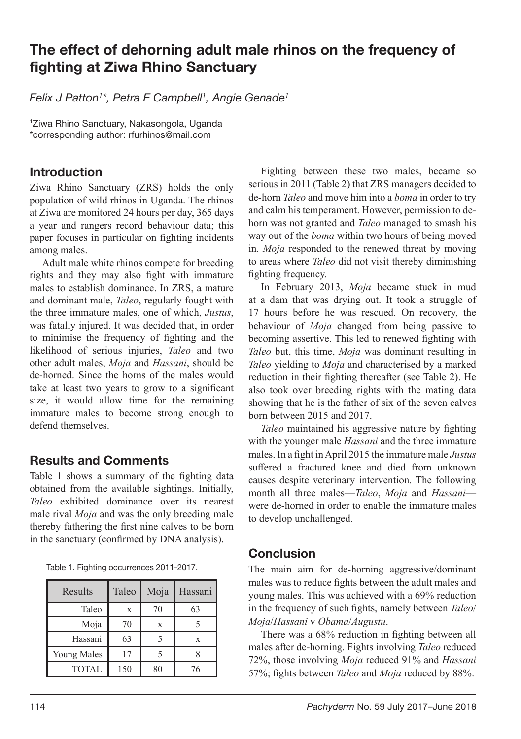## The effect of dehorning adult male rhinos on the frequency of fighting at Ziwa Rhino Sanctuary

*Felix J Patton1 \*, Petra E Campbell1 , Angie Genade1*

1 Ziwa Rhino Sanctuary, Nakasongola, Uganda \*corresponding author: rfurhinos@mail.com

## Introduction

Ziwa Rhino Sanctuary (ZRS) holds the only population of wild rhinos in Uganda. The rhinos at Ziwa are monitored 24 hours per day, 365 days a year and rangers record behaviour data; this paper focuses in particular on fighting incidents among males.

Adult male white rhinos compete for breeding rights and they may also fight with immature males to establish dominance. In ZRS, a mature and dominant male, *Taleo*, regularly fought with the three immature males, one of which, *Justus*, was fatally injured. It was decided that, in order to minimise the frequency of fighting and the likelihood of serious injuries, *Taleo* and two other adult males, *Moja* and *Hassani*, should be de-horned. Since the horns of the males would take at least two years to grow to a significant size, it would allow time for the remaining immature males to become strong enough to defend themselves.

## Results and Comments

Table 1 shows a summary of the fighting data obtained from the available sightings. Initially, *Taleo* exhibited dominance over its nearest male rival *Moja* and was the only breeding male thereby fathering the first nine calves to be born in the sanctuary (confirmed by DNA analysis).

|  |  | Table 1. Fighting occurrences 2011-2017. |  |  |
|--|--|------------------------------------------|--|--|
|--|--|------------------------------------------|--|--|

| Results      | Taleo | Moja | Hassani |
|--------------|-------|------|---------|
| Taleo        | X     | 70   | 63      |
| Moja         | 70    | X    |         |
| Hassani      | 63    |      | X       |
| Young Males  | 17    |      |         |
| <b>TOTAL</b> | 150   | 80   | 76      |

Fighting between these two males, became so serious in 2011 (Table 2) that ZRS managers decided to de-horn *Taleo* and move him into a *boma* in order to try and calm his temperament. However, permission to dehorn was not granted and *Taleo* managed to smash his way out of the *boma* within two hours of being moved in. *Moja* responded to the renewed threat by moving to areas where *Taleo* did not visit thereby diminishing fighting frequency.

In February 2013, *Moja* became stuck in mud at a dam that was drying out. It took a struggle of 17 hours before he was rescued. On recovery, the behaviour of *Moja* changed from being passive to becoming assertive. This led to renewed fighting with *Taleo* but, this time, *Moja* was dominant resulting in *Taleo* yielding to *Moja* and characterised by a marked reduction in their fighting thereafter (see Table 2). He also took over breeding rights with the mating data showing that he is the father of six of the seven calves born between 2015 and 2017.

*Taleo* maintained his aggressive nature by fighting with the younger male *Hassani* and the three immature males. In a fight in April 2015 the immature male *Justus* suffered a fractured knee and died from unknown causes despite veterinary intervention. The following month all three males—*Taleo*, *Moja* and *Hassani* were de-horned in order to enable the immature males to develop unchallenged.

## Conclusion

The main aim for de-horning aggressive/dominant males was to reduce fights between the adult males and young males. This was achieved with a 69% reduction in the frequency of such fights, namely between *Taleo*/ *Moja*/*Hassani* v *Obama*/*Augustu*.

There was a 68% reduction in fighting between all males after de-horning. Fights involving *Taleo* reduced 72%, those involving *Moja* reduced 91% and *Hassani* 57%; fights between *Taleo* and *Moja* reduced by 88%.